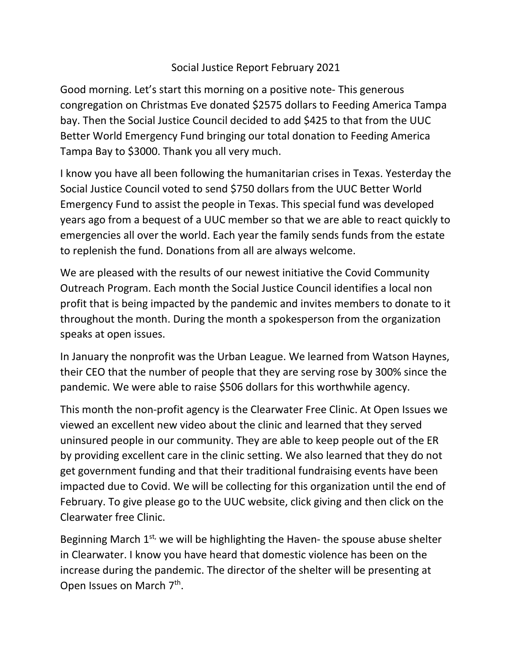## Social Justice Report February 2021

Good morning. Let's start this morning on a positive note- This generous congregation on Christmas Eve donated \$2575 dollars to Feeding America Tampa bay. Then the Social Justice Council decided to add \$425 to that from the UUC Better World Emergency Fund bringing our total donation to Feeding America Tampa Bay to \$3000. Thank you all very much.

I know you have all been following the humanitarian crises in Texas. Yesterday the Social Justice Council voted to send \$750 dollars from the UUC Better World Emergency Fund to assist the people in Texas. This special fund was developed years ago from a bequest of a UUC member so that we are able to react quickly to emergencies all over the world. Each year the family sends funds from the estate to replenish the fund. Donations from all are always welcome.

We are pleased with the results of our newest initiative the Covid Community Outreach Program. Each month the Social Justice Council identifies a local non profit that is being impacted by the pandemic and invites members to donate to it throughout the month. During the month a spokesperson from the organization speaks at open issues.

In January the nonprofit was the Urban League. We learned from Watson Haynes, their CEO that the number of people that they are serving rose by 300% since the pandemic. We were able to raise \$506 dollars for this worthwhile agency.

This month the non-profit agency is the Clearwater Free Clinic. At Open Issues we viewed an excellent new video about the clinic and learned that they served uninsured people in our community. They are able to keep people out of the ER by providing excellent care in the clinic setting. We also learned that they do not get government funding and that their traditional fundraising events have been impacted due to Covid. We will be collecting for this organization until the end of February. To give please go to the UUC website, click giving and then click on the Clearwater free Clinic.

Beginning March  $1^{st}$ , we will be highlighting the Haven- the spouse abuse shelter in Clearwater. I know you have heard that domestic violence has been on the increase during the pandemic. The director of the shelter will be presenting at Open Issues on March 7<sup>th</sup>.